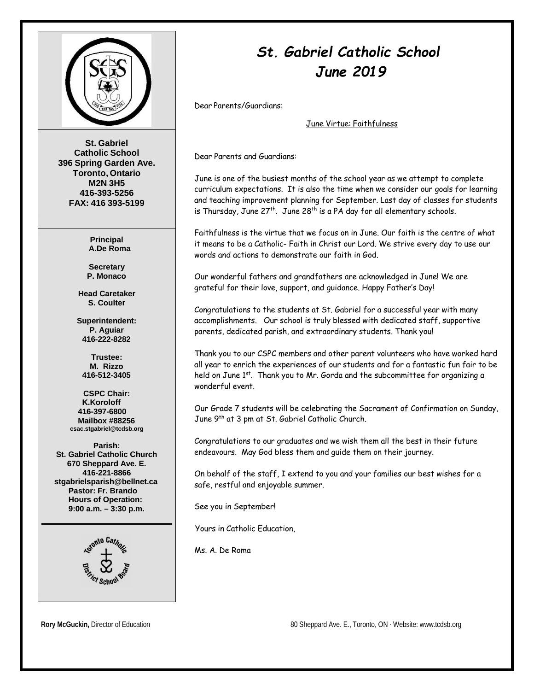

**St. Gabriel Catholic School 396 Spring Garden Ave. Toronto, Ontario M2N 3H5 416-393-5256 FAX: 416 393-5199**

> **Principal A.De Roma**

**Secretary P. Monaco**

**Head Caretaker S. Coulter**

**Superintendent: P. Aguiar 416-222-8282**

**Trustee: M. Rizzo 416-512-3405**

**CSPC Chair: K.Koroloff 416-397-6800 Mailbox #88256 [csac.stgabriel@tcdsb.org](mailto:csac.stgabriel@tcdsb.org)**

**Parish: St. Gabriel Catholic Church 670 Sheppard Ave. E. 416-221-8866 [stgabrielsparish@bellnet.ca](mailto:stgabrielsparish@bellnet.ca) Pastor: Fr. Brando Hours of Operation: 9:00 a.m. – 3:30 p.m.**



# *St. Gabriel Catholic School June 2019*

Dear Parents/Guardians:

June Virtue: Faithfulness

Dear Parents and Guardians:

June is one of the busiest months of the school year as we attempt to complete curriculum expectations. It is also the time when we consider our goals for learning and teaching improvement planning for September. Last day of classes for students is Thursday, June  $27^{th}$ . June  $28^{th}$  is a PA day for all elementary schools.

Faithfulness is the virtue that we focus on in June. Our faith is the centre of what it means to be a Catholic- Faith in Christ our Lord. We strive every day to use our words and actions to demonstrate our faith in God.

Our wonderful fathers and grandfathers are acknowledged in June! We are grateful for their love, support, and guidance. Happy Father's Day!

Congratulations to the students at St. Gabriel for a successful year with many accomplishments. Our school is truly blessed with dedicated staff, supportive parents, dedicated parish, and extraordinary students. Thank you!

Thank you to our CSPC members and other parent volunteers who have worked hard all year to enrich the experiences of our students and for a fantastic fun fair to be held on June  $1^{st}$ . Thank you to Mr. Gorda and the subcommittee for organizing a wonderful event.

Our Grade 7 students will be celebrating the Sacrament of Confirmation on Sunday, June 9<sup>th</sup> at 3 pm at St. Gabriel Catholic Church.

Congratulations to our graduates and we wish them all the best in their future endeavours. May God bless them and guide them on their journey.

On behalf of the staff, I extend to you and your families our best wishes for a safe, restful and enjoyable summer.

See you in September!

Yours in Catholic Education,

Ms. A. De Roma

**Rory McGuckin, Director of Education 80 Sheppard Ave. E., Toronto, ON ⋅ Website[: www.tcdsb.org](http://www.tcdsb.org/)**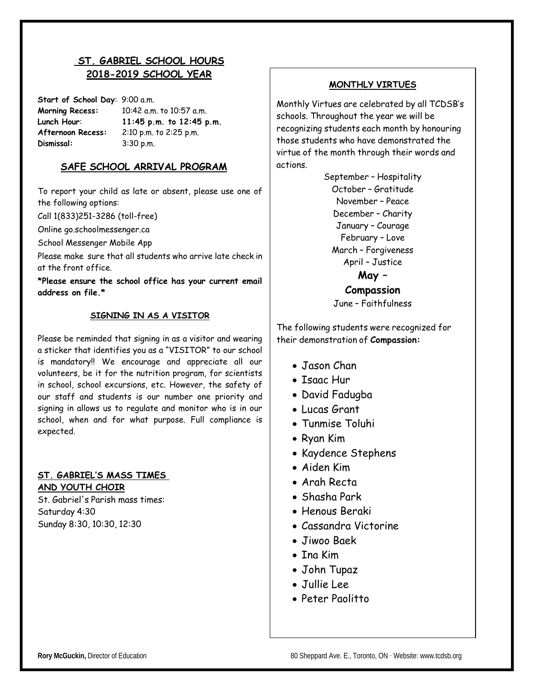### **ST. GABRIEL SCHOOL HOURS 2018-2019 SCHOOL YEAR**

**Start of School Day**: 9:00 a.m. **Morning Recess:** 10:42 a.m. to 10:57 a.m. **Lunch Hour**: **11:45 p.m. to 12:45 p.m. Afternoon Recess:** 2:10 p.m. to 2:25 p.m. **Dismissal:** 3:30 p.m.

#### **SAFE SCHOOL ARRIVAL PROGRAM**

To report your child as late or absent, please use one of the following options:

Call 1(833)251-3286 (toll-free)

Online go.schoolmessenger.ca

School Messenger Mobile App

Please make sure that all students who arrive late check in at the front office.

**\*Please ensure the school office has your current email address on file.\***

#### **SIGNING IN AS A VISITOR**

Please be reminded that signing in as a visitor and wearing a sticker that identifies you as a "VISITOR" to our school is mandatory!! We encourage and appreciate all our volunteers, be it for the nutrition program, for scientists in school, school excursions, etc. However, the safety of our staff and students is our number one priority and signing in allows us to regulate and monitor who is in our school, when and for what purpose. Full compliance is expected.

#### **ST. GABRIEL'S MASS TIMES AND YOUTH CHOIR**

St. Gabriel's Parish mass times: Saturday 4:30 Sunday 8:30, 10:30, 12:30

#### **MONTHLY VIRTUES**

Monthly Virtues are celebrated by all TCDSB's schools. Throughout the year we will be recognizing students each month by honouring those students who have demonstrated the virtue of the month through their words and actions.

> September – Hospitality October – Gratitude November – Peace December – Charity January – Courage February – Love March – Forgiveness April – Justice

> > **May – Compassion**

June – Faithfulness

The following students were recognized for their demonstration of **Compassion:**

- Jason Chan
- Isaac Hur
- David Fadugba
- Lucas Grant
- Tunmise Toluhi
- Ryan Kim
- Kaydence Stephens
- Aiden Kim
- Arah Recta
- Shasha Park
- Henous Beraki
- Cassandra Victorine
- Jiwoo Baek
- Ina Kim
- John Tupaz
- Jullie Lee
- Peter Paolitto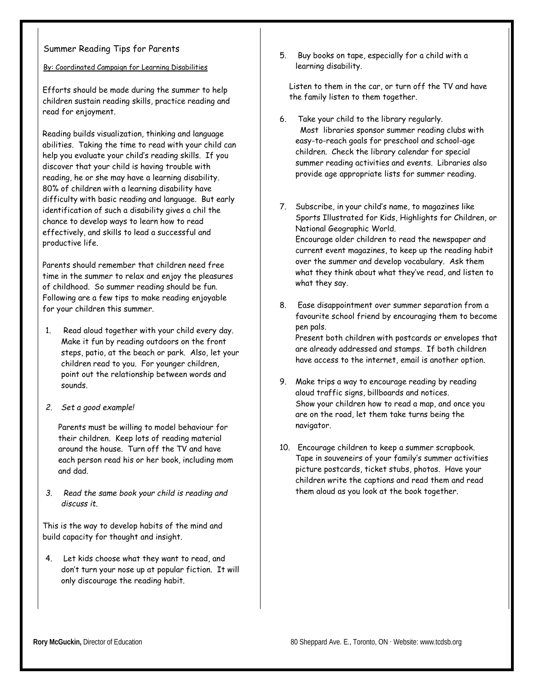#### Summer Reading Tips for Parents

By: Coordinated Campaign for Learning Disabilities

Efforts should be made during the summer to help children sustain reading skills, practice reading and read for enjoyment.

Reading builds visualization, thinking and language abilities. Taking the time to read with your child can help you evaluate your child's reading skills. If you discover that your child is having trouble with reading, he or she may have a learning disability. 80% of children with a learning disability have difficulty with basic reading and language. But early identification of such a disability gives a chil the chance to develop ways to learn how to read effectively, and skills to lead a successful and productive life.

Parents should remember that children need free time in the summer to relax and enjoy the pleasures of childhood. So summer reading should be fun. Following are a few tips to make reading enjoyable for your children this summer.

- 1. Read aloud together with your child every day. Make it fun by reading outdoors on the front steps, patio, at the beach or park. Also, let your children read to you. For younger children, point out the relationship between words and sounds.
- *2. Set a good example!*

Parents must be willing to model behaviour for their children. Keep lots of reading material around the house. Turn off the TV and have each person read his or her book, including mom and dad.

*3. Read the same book your child is reading and discuss it.*

This is the way to develop habits of the mind and build capacity for thought and insight.

4. Let kids choose what they want to read, and don't turn your nose up at popular fiction. It will only discourage the reading habit.

5. Buy books on tape, especially for a child with a learning disability.

Listen to them in the car, or turn off the TV and have the family listen to them together.

- 6. Take your child to the library regularly. Most libraries sponsor summer reading clubs with easy-to-reach goals for preschool and school-age children. Check the library calendar for special summer reading activities and events. Libraries also provide age appropriate lists for summer reading.
- 7. Subscribe, in your child's name, to magazines like Sports Illustrated for Kids, Highlights for Children, or National Geographic World. Encourage older children to read the newspaper and current event magazines, to keep up the reading habit over the summer and develop vocabulary. Ask them what they think about what they've read, and listen to what they say.
- 8. Ease disappointment over summer separation from a favourite school friend by encouraging them to become pen pals. Present both children with postcards or envelopes that are already addressed and stamps. If both children have access to the internet, email is another option.
- 9. Make trips a way to encourage reading by reading aloud traffic signs, billboards and notices. Show your children how to read a map, and once you are on the road, let them take turns being the navigator.
- 10. Encourage children to keep a summer scrapbook. Tape in souveneirs of your family's summer activities picture postcards, ticket stubs, photos. Have your children write the captions and read them and read them aloud as you look at the book together.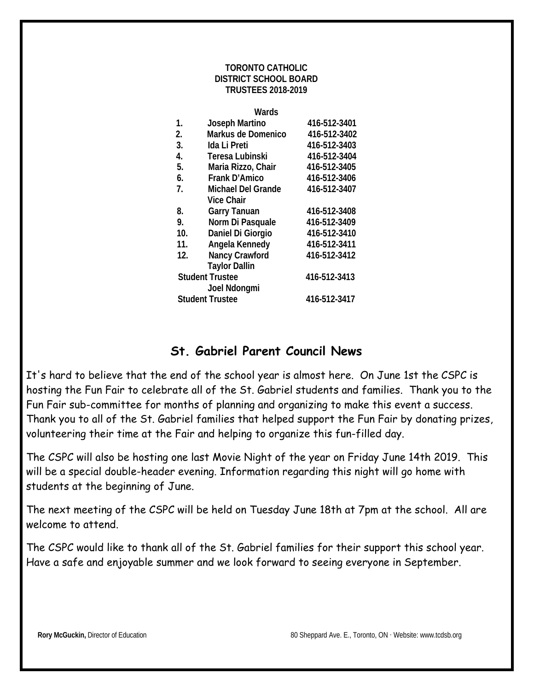#### **TORONTO CATHOLIC DISTRICT SCHOOL BOARD TRUSTEES 2018-2019**

|     | Wards                     |              |
|-----|---------------------------|--------------|
| 1.  | Joseph Martino            | 416-512-3401 |
| 2.  | Markus de Domenico        | 416-512-3402 |
| 3.  | Ida Li Preti              | 416-512-3403 |
| 4.  | Teresa Lubinski           | 416-512-3404 |
| 5.  | Maria Rizzo, Chair        | 416-512-3405 |
| 6.  | <b>Frank D'Amico</b>      | 416-512-3406 |
| 7.  | <b>Michael Del Grande</b> | 416-512-3407 |
|     | <b>Vice Chair</b>         |              |
| 8.  | <b>Garry Tanuan</b>       | 416-512-3408 |
| 9.  | Norm Di Pasquale          | 416-512-3409 |
| 10. | Daniel Di Giorgio         | 416-512-3410 |
| 11. | Angela Kennedy            | 416-512-3411 |
| 12. | Nancy Crawford            | 416-512-3412 |
|     | <b>Taylor Dallin</b>      |              |
|     | <b>Student Trustee</b>    | 416-512-3413 |
|     | Joel Ndongmi              |              |
|     | <b>Student Trustee</b>    | 416-512-3417 |
|     |                           |              |

# **St. Gabriel Parent Council News**

It's hard to believe that the end of the school year is almost here. On June 1st the CSPC is hosting the Fun Fair to celebrate all of the St. Gabriel students and families. Thank you to the Fun Fair sub-committee for months of planning and organizing to make this event a success. Thank you to all of the St. Gabriel families that helped support the Fun Fair by donating prizes, volunteering their time at the Fair and helping to organize this fun-filled day.

The CSPC will also be hosting one last Movie Night of the year on Friday June 14th 2019. This will be a special double-header evening. Information regarding this night will go home with students at the beginning of June.

The next meeting of the CSPC will be held on Tuesday June 18th at 7pm at the school. All are welcome to attend.

The CSPC would like to thank all of the St. Gabriel families for their support this school year. Have a safe and enjoyable summer and we look forward to seeing everyone in September.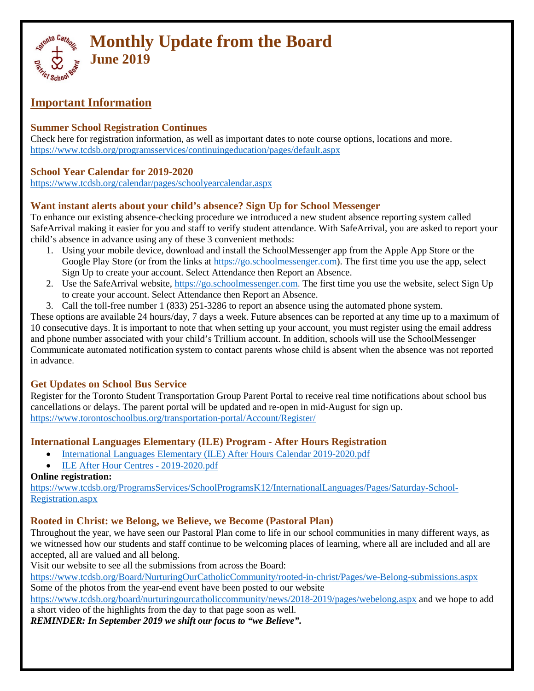

## **Important Information**

### **Summer School Registration Continues**

Check here for registration information, as well as important dates to note course options, locations and more. <https://www.tcdsb.org/programsservices/continuingeducation/pages/default.aspx>

### **School Year Calendar for 2019-2020**

<https://www.tcdsb.org/calendar/pages/schoolyearcalendar.aspx>

### **Want instant alerts about your child's absence? Sign Up for School Messenger**

To enhance our existing absence-checking procedure we introduced a new student absence reporting system called SafeArrival making it easier for you and staff to verify student attendance. With SafeArrival, you are asked to report your child's absence in advance using any of these 3 convenient methods:

- 1. Using your mobile device, download and install the SchoolMessenger app from the Apple App Store or the Google Play Store (or from the links at [https://go.schoolmessenger.com\)](https://go.schoolmessenger.com/). The first time you use the app, select Sign Up to create your account. Select Attendance then Report an Absence.
- 2. Use the SafeArrival website, [https://go.schoolmessenger.com.](https://go.schoolmessenger.com/) The first time you use the website, select Sign Up to create your account. Select Attendance then Report an Absence.
- 3. Call the toll-free number 1 (833) 251-3286 to report an absence using the automated phone system.

These options are available 24 hours/day, 7 days a week. Future absences can be reported at any time up to a maximum of 10 consecutive days. It is important to note that when setting up your account, you must register using the email address and phone number associated with your child's Trillium account. In addition, schools will use the SchoolMessenger Communicate automated notification system to contact parents whose child is absent when the absence was not reported in advance.

### **Get Updates on School Bus Service**

Register for the Toronto Student Transportation Group Parent Portal to receive real time notifications about school bus cancellations or delays. The parent portal will be updated and re-open in mid-August for sign up. <https://www.torontoschoolbus.org/transportation-portal/Account/Register/>

### **International Languages Elementary (ILE) Program - After Hours Registration**

- [International Languages Elementary \(ILE\) After Hours Calendar 2019-2020.pdf](https://www.tcdsb.org/ProgramsServices/SchoolProgramsK12/InternationalLanguages/Documents/International%20Languages%20Elementary%20(ILE)%20AFter%20Hours%20Calendar%202019-2020.pdf)
- [ILE After Hour Centres -](https://www.tcdsb.org/ProgramsServices/SchoolProgramsK12/InternationalLanguages/Documents/ILE%20After%20Hour%20Centres%20-%202019-2020.pdf) 2019-2020.pdf

### **Online registration:**

[https://www.tcdsb.org/ProgramsServices/SchoolProgramsK12/InternationalLanguages/Pages/Saturday-School-](https://www.tcdsb.org/ProgramsServices/SchoolProgramsK12/InternationalLanguages/Pages/Saturday-School-Registration.aspx)[Registration.aspx](https://www.tcdsb.org/ProgramsServices/SchoolProgramsK12/InternationalLanguages/Pages/Saturday-School-Registration.aspx)

### **Rooted in Christ: we Belong, we Believe, we Become (Pastoral Plan)**

Throughout the year, we have seen our Pastoral Plan come to life in our school communities in many different ways, as we witnessed how our students and staff continue to be welcoming places of learning, where all are included and all are accepted, all are valued and all belong.

Visit our website to see all the submissions from across the Board:

<https://www.tcdsb.org/Board/NurturingOurCatholicCommunity/rooted-in-christ/Pages/we-Belong-submissions.aspx> Some of the photos from the year-end event have been posted to our website

<https://www.tcdsb.org/board/nurturingourcatholiccommunity/news/2018-2019/pages/webelong.aspx> and we hope to add a short video of the highlights from the day to that page soon as well.

*REMINDER: In September 2019 we shift our focus to "we Believe".*